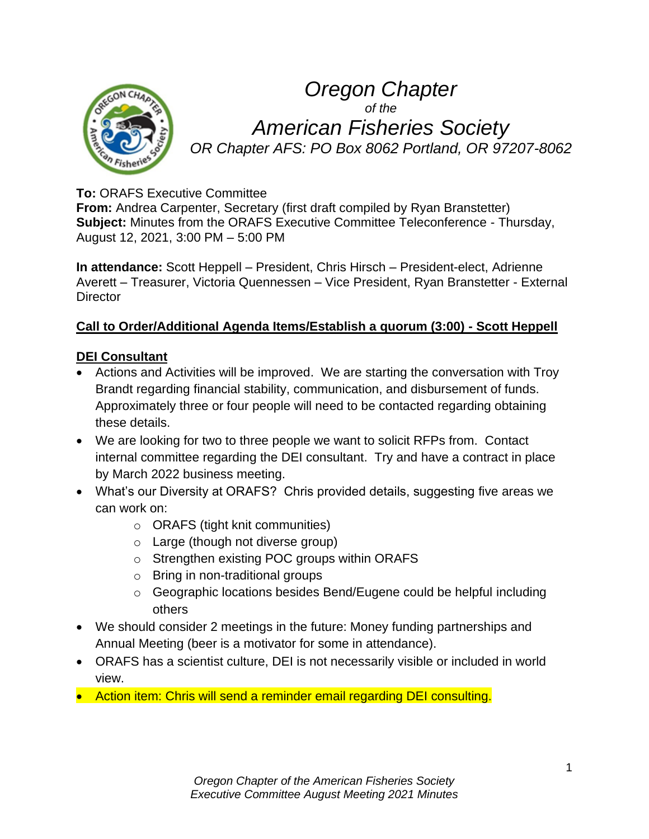

# *Oregon Chapter of the American Fisheries Society OR Chapter AFS: PO Box 8062 Portland, OR 97207-8062*

## **To:** ORAFS Executive Committee

**From:** Andrea Carpenter, Secretary (first draft compiled by Ryan Branstetter) **Subject:** Minutes from the ORAFS Executive Committee Teleconference - Thursday, August 12, 2021, 3:00 PM – 5:00 PM

**In attendance:** Scott Heppell – President, Chris Hirsch – President-elect, Adrienne Averett – Treasurer, Victoria Quennessen – Vice President, Ryan Branstetter - External **Director** 

#### **Call to Order/Additional Agenda Items/Establish a quorum (3:00) - Scott Heppell**

#### **DEI Consultant**

- Actions and Activities will be improved. We are starting the conversation with Troy Brandt regarding financial stability, communication, and disbursement of funds. Approximately three or four people will need to be contacted regarding obtaining these details.
- We are looking for two to three people we want to solicit RFPs from. Contact internal committee regarding the DEI consultant. Try and have a contract in place by March 2022 business meeting.
- What's our Diversity at ORAFS? Chris provided details, suggesting five areas we can work on:
	- o ORAFS (tight knit communities)
	- $\circ$  Large (though not diverse group)
	- o Strengthen existing POC groups within ORAFS
	- o Bring in non-traditional groups
	- o Geographic locations besides Bend/Eugene could be helpful including others
- We should consider 2 meetings in the future: Money funding partnerships and Annual Meeting (beer is a motivator for some in attendance).
- ORAFS has a scientist culture, DEI is not necessarily visible or included in world view.
- Action item: Chris will send a reminder email regarding DEI consulting.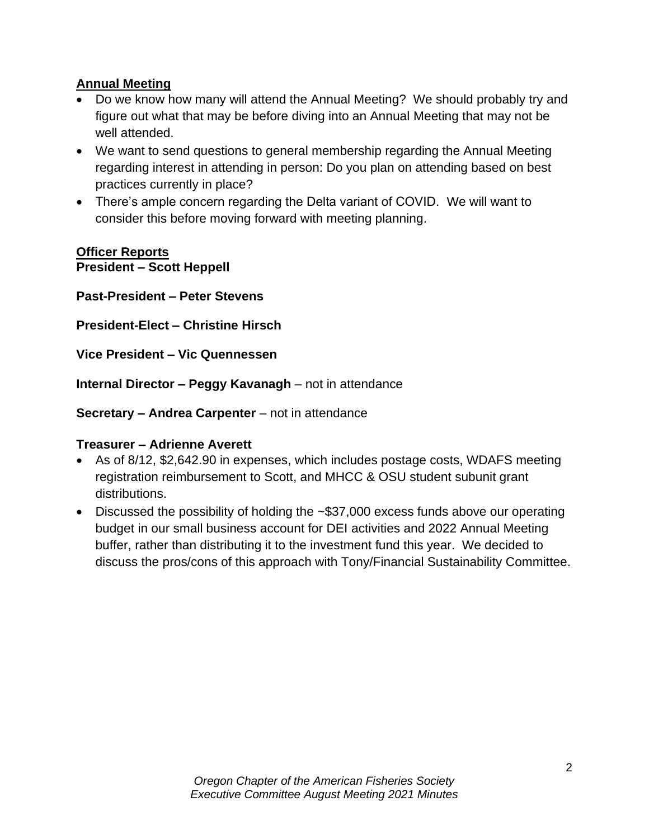### **Annual Meeting**

- Do we know how many will attend the Annual Meeting? We should probably try and figure out what that may be before diving into an Annual Meeting that may not be well attended.
- We want to send questions to general membership regarding the Annual Meeting regarding interest in attending in person: Do you plan on attending based on best practices currently in place?
- There's ample concern regarding the Delta variant of COVID. We will want to consider this before moving forward with meeting planning.

#### **Officer Reports President – Scott Heppell**

**Past-President – Peter Stevens**

**President-Elect – Christine Hirsch**

**Vice President – Vic Quennessen**

**Internal Director – Peggy Kavanagh** – not in attendance

**Secretary – Andrea Carpenter** – not in attendance

#### **Treasurer – Adrienne Averett**

- As of 8/12, \$2,642.90 in expenses, which includes postage costs, WDAFS meeting registration reimbursement to Scott, and MHCC & OSU student subunit grant distributions.
- Discussed the possibility of holding the ~\$37,000 excess funds above our operating budget in our small business account for DEI activities and 2022 Annual Meeting buffer, rather than distributing it to the investment fund this year. We decided to discuss the pros/cons of this approach with Tony/Financial Sustainability Committee.